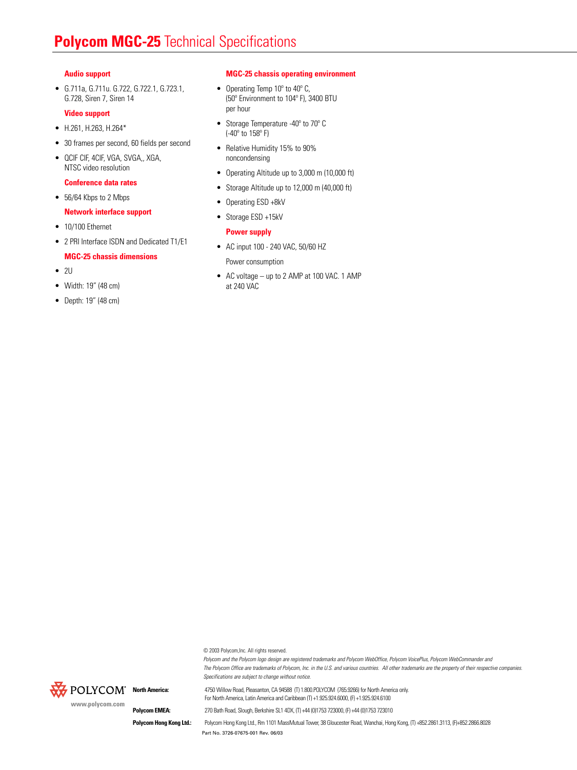# **Polycom MGC-25** Technical Specifications

### **Audio support**

• G.711a, G.711u. G.722, G.722.1, G.723.1, G.728, Siren 7, Siren 14

#### **Video support**

- H.261, H.263, H.264\*
- 30 frames per second, 60 fields per second
- QCIF CIF, 4CIF, VGA, SVGA,, XGA, NTSC video resolution

### **Conference data rates**

• 56/64 Kbps to 2 Mbps

### **Network interface support**

- 10/100 Ethernet
- 2 PRI Interface ISDN and Dedicated T1/E1

### **MGC-25 chassis dimensions**

- $\bullet$  2U
- Width: 19" (48 cm)
- Depth: 19" (48 cm)

### **MGC-25 chassis operating environment**

- Operating Temp 10° to 40° C, (50º Environment to 104º F), 3400 BTU per hour
- Storage Temperature -40º to 70º C (-40º to 158º F)
- Relative Humidity 15% to 90% noncondensing
- Operating Altitude up to 3,000 m (10,000 ft)
- Storage Altitude up to 12,000 m (40,000 ft)
- Operating ESD +8kV
- Storage ESD +15kV

### **Power supply**

• AC input 100 - 240 VAC, 50/60 HZ

Power consumption

• AC voltage – up to 2 AMP at 100 VAC. 1 AMP at 240 VAC

© 2003 Polycom,Inc. All rights reserved.



*Polycom and the Polycom logo design are registered trademarks and Polycom WebOffice, Polycom VoicePlus, Polycom WebCommander and The Polycom Office are trademarks of Polycom, Inc. in the U.S. and various countries. All other trademarks are the property of their respective companies. Specifications are subject to change without notice.*

**North America:** 4750 Willow Road, Pleasanton, CA 94588 (T) 1.800.POLYCOM (765.9266) for North America only. For North America, Latin America and Caribbean (T) +1.925.924.6000, (F) +1.925.924.6100

**Polycom EMEA:** 270 Bath Road, Slough, Berkshire SL1 4DX, (T) +44 (0)1753 723000, (F) +44 (0)1753 723010

Part No. 3726-07675-001 Rev. 06/03 Polycom Hong Kong Ltd.: Polycom Hong Kong Ltd., Rm 1101 MassMutual Tower, 38 Gloucester Road, Wanchai, Hong Kong, (T) +852.2861.3113, (F)+852.2866.8028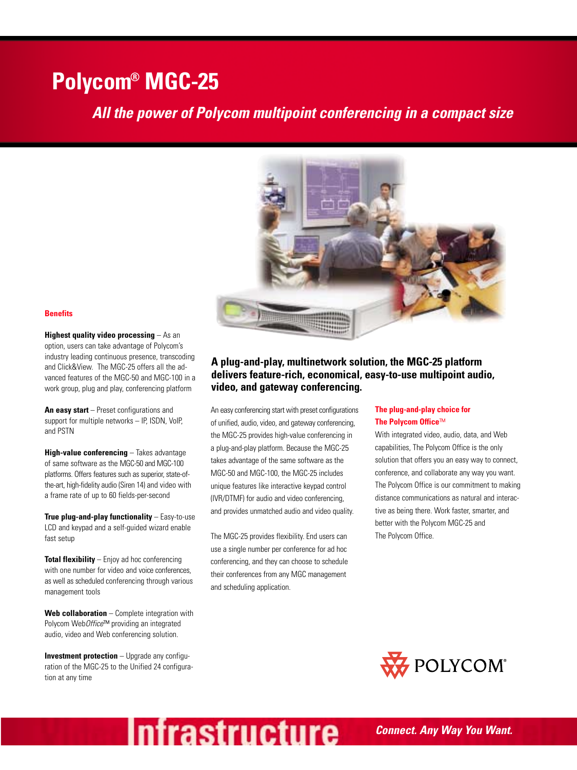# **Polycom® MGC-25**

## *All the power of Polycom multipoint conferencing in a compact size*



### **Benefits**

**Highest quality video processing** – As an option, users can take advantage of Polycom's industry leading continuous presence, transcoding and Click&View. The MGC-25 offers all the advanced features of the MGC-50 and MGC-100 in a work group, plug and play, conferencing platform

**An easy start** – Preset configurations and support for multiple networks – IP, ISDN, VoIP, and PSTN

**High-value conferencing** – Takes advantage of same software as the MGC-50 and MGC-100 platforms. Offers features such as superior, state-ofthe-art, high-fidelity audio (Siren 14) and video with a frame rate of up to 60 fields-per-second

**True plug-and-play functionality** – Easy-to-use LCD and keypad and a self-guided wizard enable fast setup

**Total flexibility** – Enjoy ad hoc conferencing with one number for video and voice conferences, as well as scheduled conferencing through various management tools

**Web collaboration** – Complete integration with Polycom Web*Office*™ providing an integrated audio, video and Web conferencing solution.

**Investment protection** – Upgrade any configuration of the MGC-25 to the Unified 24 configuration at any time

### **A plug-and-play, multinetwork solution, the MGC-25 platform delivers feature-rich, economical, easy-to-use multipoint audio, video, and gateway conferencing.**

An easy conferencing start with preset configurations of unified, audio, video, and gateway conferencing, the MGC-25 provides high-value conferencing in a plug-and-play platform. Because the MGC-25 takes advantage of the same software as the MGC-50 and MGC-100, the MGC-25 includes unique features like interactive keypad control (IVR/DTMF) for audio and video conferencing, and provides unmatched audio and video quality.

The MGC-25 provides flexibility. End users can use a single number per conference for ad hoc conferencing, and they can choose to schedule their conferences from any MGC management and scheduling application.

**Infrastructure** 

### **The plug-and-play choice for The Polycom Office**™

With integrated video, audio, data, and Web capabilities, The Polycom Office is the only solution that offers you an easy way to connect, conference, and collaborate any way you want. The Polycom Office is our commitment to making distance communications as natural and interactive as being there. Work faster, smarter, and better with the Polycom MGC-25 and The Polycom Office.

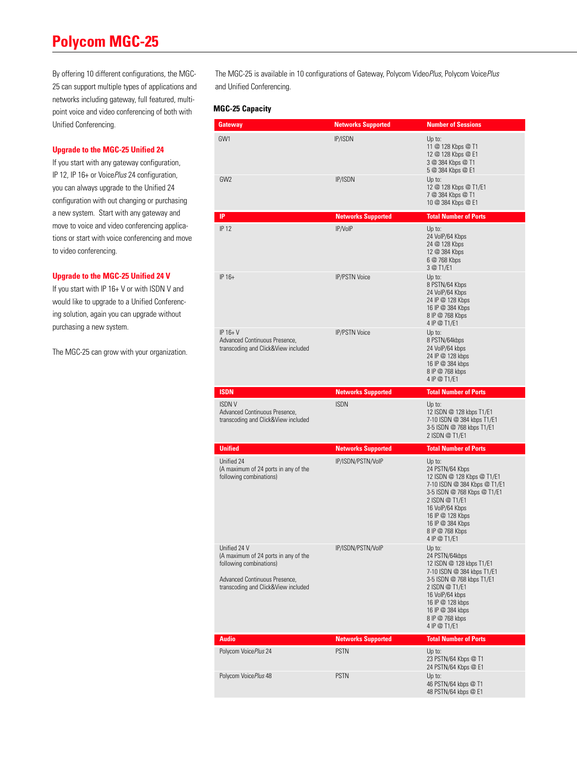# **Polycom MGC-25**

By offering 10 different configurations, the MGC-25 can support multiple types of applications and networks including gateway, full featured, multipoint voice and video conferencing of both with Unified Conferencing.

### **Upgrade to the MGC-25 Unified 24**

If you start with any gateway configuration, IP 12, IP 16+ or Voice*Plus* 24 configuration, you can always upgrade to the Unified 24 configuration with out changing or purchasing a new system. Start with any gateway and move to voice and video conferencing applications or start with voice conferencing and move to video conferencing.

### **Upgrade to the MGC-25 Unified 24 V**

If you start with IP 16+ V or with ISDN V and would like to upgrade to a Unified Conferencing solution, again you can upgrade without purchasing a new system.

The MGC-25 can grow with your organization.

The MGC-25 is available in 10 configurations of Gateway, Polycom Video*Plus*, Polycom Voice*Plus*  and Unified Conferencing.

### **MGC-25 Capacity**

| Gateway                                                                                                                                                 | <b>Networks Supported</b> | <b>Number of Sessions</b>                                                                                                                                                                                                              |
|---------------------------------------------------------------------------------------------------------------------------------------------------------|---------------------------|----------------------------------------------------------------------------------------------------------------------------------------------------------------------------------------------------------------------------------------|
| GW1                                                                                                                                                     | <b>IP/ISDN</b>            | Up to:<br>11 @ 128 Kbps @ T1<br>12 @ 128 Kbps @ E1<br>3 @ 384 Kbps @ T1<br>5 @ 384 Kbps @ E1                                                                                                                                           |
| GW <sub>2</sub>                                                                                                                                         | <b>IP/ISDN</b>            | Up to:<br>12 @ 128 Kbps @ T1/E1<br>7 @ 384 Kbps @ T1<br>10 @ 384 Kbps @ E1                                                                                                                                                             |
| IP                                                                                                                                                      | <b>Networks Supported</b> | <b>Total Number of Ports</b>                                                                                                                                                                                                           |
| <b>IP 12</b>                                                                                                                                            | IP/VoIP                   | Up to:<br>24 VolP/64 Kbps<br>24 @ 128 Kbps<br>12 @ 384 Kbps<br>6 @ 768 Kbps<br>3 @ T1/E1                                                                                                                                               |
| IP 16+                                                                                                                                                  | <b>IP/PSTN Voice</b>      | Up to:<br>8 PSTN/64 Kbps<br>24 VolP/64 Kbps<br>24 IP @ 128 Kbps<br>16 IP @ 384 Kbps<br>8 IP @ 768 Kbps<br>4 IP @ T1/E1                                                                                                                 |
| $IP$ 16+ V<br>Advanced Continuous Presence,<br>transcoding and Click&View included                                                                      | <b>IP/PSTN Voice</b>      | Up to:<br>8 PSTN/64kbps<br>24 VoIP/64 kbps<br>24 IP @ 128 kbps<br>16 IP @ 384 kbps<br>8 IP @ 768 kbps<br>4 IP @ T1/E1                                                                                                                  |
| <b>ISDN</b>                                                                                                                                             | <b>Networks Supported</b> | <b>Total Number of Ports</b>                                                                                                                                                                                                           |
| <b>ISDNV</b><br>Advanced Continuous Presence,<br>transcoding and Click&View included                                                                    | <b>ISDN</b>               | Up to:<br>12 ISDN @ 128 kbps T1/E1<br>7-10 ISDN @ 384 kbps T1/E1<br>3-5 ISDN @ 768 kbps T1/E1<br>2 ISDN @ T1/E1                                                                                                                        |
| <b>Unified</b>                                                                                                                                          | <b>Networks Supported</b> | <b>Total Number of Ports</b>                                                                                                                                                                                                           |
| Unified 24                                                                                                                                              |                           |                                                                                                                                                                                                                                        |
| (A maximum of 24 ports in any of the<br>following combinations)                                                                                         | IP/ISDN/PSTN/VoIP         | Up to:<br>24 PSTN/64 Kbps<br>12 ISDN @ 128 Kbps @ T1/E1<br>7-10 ISDN @ 384 Kbps @ T1/E1<br>3-5 ISDN @ 768 Kbps @ T1/E1<br>2 ISDN @ T1/E1<br>16 VolP/64 Kbps<br>16 IP @ 128 Kbps<br>16 IP @ 384 Kbps<br>8 IP @ 768 Kbps<br>4 IP @ T1/E1 |
| Unified 24 V<br>(A maximum of 24 ports in any of the<br>following combinations)<br>Advanced Continuous Presence,<br>transcoding and Click&View included | IP/ISDN/PSTN/VoIP         | Up to:<br>24 PSTN/64kbps<br>12 ISDN @ 128 kbps T1/E1<br>7-10 ISDN @ 384 kbps T1/E1<br>3-5 ISDN @ 768 kbps T1/E1<br>2 ISDN @ T1/E1<br>16 VolP/64 kbps<br>16 IP @ 128 kbps<br>16 IP @ 384 kbps<br>8 IP @ 768 kbps<br>4 IP @ T1/E1        |
| <b>Audio</b>                                                                                                                                            | <b>Networks Supported</b> | <b>Total Number of Ports</b>                                                                                                                                                                                                           |
| Polycom VoicePlus 24                                                                                                                                    | <b>PSTN</b>               | Up to:<br>23 PSTN/64 Kbps @ T1<br>24 PSTN/64 Kbps @ E1                                                                                                                                                                                 |